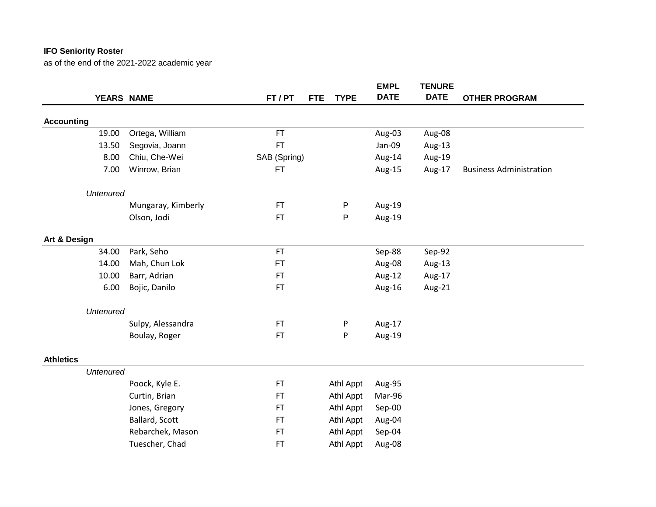|                    |              |            | <b>EMPL</b>            | <b>TENURE</b>                                                                             |                                |
|--------------------|--------------|------------|------------------------|-------------------------------------------------------------------------------------------|--------------------------------|
| YEARS NAME         | FT / PT      | <b>FTE</b> | <b>DATE</b>            | <b>DATE</b>                                                                               | <b>OTHER PROGRAM</b>           |
|                    |              |            |                        |                                                                                           |                                |
| Ortega, William    | <b>FT</b>    |            | Aug-03                 | Aug-08                                                                                    |                                |
| Segovia, Joann     | <b>FT</b>    |            | Jan-09                 | Aug-13                                                                                    |                                |
| Chiu, Che-Wei      | SAB (Spring) |            | Aug-14                 | Aug-19                                                                                    |                                |
| Winrow, Brian      | <b>FT</b>    |            | Aug-15                 | Aug-17                                                                                    | <b>Business Administration</b> |
| <b>Untenured</b>   |              |            |                        |                                                                                           |                                |
| Mungaray, Kimberly | <b>FT</b>    |            | Aug-19                 |                                                                                           |                                |
| Olson, Jodi        | <b>FT</b>    |            | Aug-19                 |                                                                                           |                                |
|                    |              |            |                        |                                                                                           |                                |
| Park, Seho         | <b>FT</b>    |            | Sep-88                 | Sep-92                                                                                    |                                |
| Mah, Chun Lok      | <b>FT</b>    |            | Aug-08                 | Aug-13                                                                                    |                                |
| Barr, Adrian       | <b>FT</b>    |            | Aug-12                 | Aug-17                                                                                    |                                |
| Bojic, Danilo      | <b>FT</b>    |            | Aug-16                 | Aug-21                                                                                    |                                |
| <b>Untenured</b>   |              |            |                        |                                                                                           |                                |
| Sulpy, Alessandra  | <b>FT</b>    |            | Aug-17                 |                                                                                           |                                |
| Boulay, Roger      | <b>FT</b>    | P          | Aug-19                 |                                                                                           |                                |
|                    |              |            |                        |                                                                                           |                                |
| <b>Untenured</b>   |              |            |                        |                                                                                           |                                |
| Poock, Kyle E.     | FT           |            | Aug-95                 |                                                                                           |                                |
| Curtin, Brian      | <b>FT</b>    |            | Mar-96                 |                                                                                           |                                |
| Jones, Gregory     | <b>FT</b>    |            | Sep-00                 |                                                                                           |                                |
| Ballard, Scott     | <b>FT</b>    |            | Aug-04                 |                                                                                           |                                |
| Rebarchek, Mason   | <b>FT</b>    |            | Sep-04                 |                                                                                           |                                |
| Tuescher, Chad     | <b>FT</b>    |            | Aug-08                 |                                                                                           |                                |
|                    |              |            | $\mathsf{P}$<br>P<br>P | <b>TYPE</b><br>Athl Appt<br>Athl Appt<br>Athl Appt<br>Athl Appt<br>Athl Appt<br>Athl Appt |                                |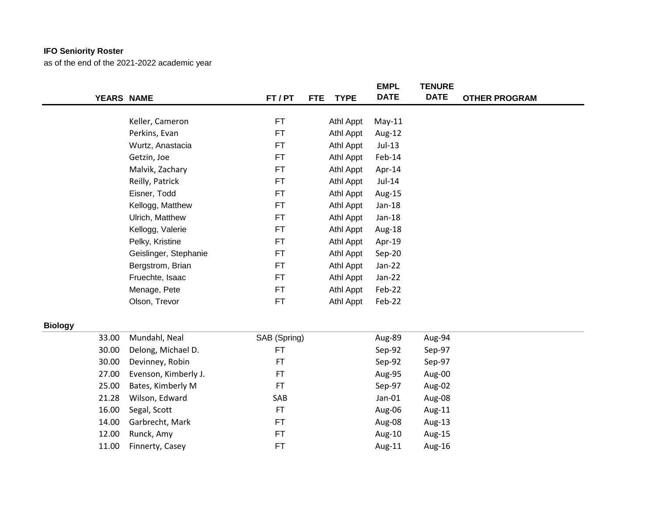|                |            |                       |              |                           | <b>EMPL</b> | <b>TENURE</b> |                      |
|----------------|------------|-----------------------|--------------|---------------------------|-------------|---------------|----------------------|
|                | YEARS NAME |                       | FT / PT      | <b>FTE</b><br><b>TYPE</b> | <b>DATE</b> | <b>DATE</b>   | <b>OTHER PROGRAM</b> |
|                |            |                       |              |                           |             |               |                      |
|                |            | Keller, Cameron       | FT           | Athl Appt                 | $May-11$    |               |                      |
|                |            | Perkins, Evan         | FT.          | Athl Appt                 | Aug-12      |               |                      |
|                |            | Wurtz, Anastacia      | FT           | Athl Appt                 | $Jul-13$    |               |                      |
|                |            | Getzin, Joe           | FT           | Athl Appt                 | Feb-14      |               |                      |
|                |            | Malvik, Zachary       | <b>FT</b>    | Athl Appt                 | Apr-14      |               |                      |
|                |            | Reilly, Patrick       | FT.          | Athl Appt                 | Jul-14      |               |                      |
|                |            | Eisner, Todd          | FT.          | Athl Appt                 | Aug-15      |               |                      |
|                |            | Kellogg, Matthew      | FT           | Athl Appt                 | $Jan-18$    |               |                      |
|                |            | Ulrich, Matthew       | <b>FT</b>    | Athl Appt                 | Jan-18      |               |                      |
|                |            | Kellogg, Valerie      | FT           | Athl Appt                 | Aug-18      |               |                      |
|                |            | Pelky, Kristine       | FT.          | Athl Appt                 | Apr-19      |               |                      |
|                |            | Geislinger, Stephanie | FT           | Athl Appt                 | Sep-20      |               |                      |
|                |            | Bergstrom, Brian      | FT.          | Athl Appt                 | Jan-22      |               |                      |
|                |            | Fruechte, Isaac       | FT.          | Athl Appt                 | Jan-22      |               |                      |
|                |            | Menage, Pete          | FT.          | Athl Appt                 | Feb-22      |               |                      |
|                |            | Olson, Trevor         | <b>FT</b>    | Athl Appt                 | Feb-22      |               |                      |
| <b>Biology</b> |            |                       |              |                           |             |               |                      |
|                | 33.00      | Mundahl, Neal         | SAB (Spring) |                           | Aug-89      | Aug-94        |                      |
|                | 30.00      | Delong, Michael D.    | <b>FT</b>    |                           | Sep-92      | Sep-97        |                      |
|                | 30.00      | Devinney, Robin       | <b>FT</b>    |                           | Sep-92      | Sep-97        |                      |
|                | 27.00      | Evenson, Kimberly J.  | <b>FT</b>    |                           | Aug-95      | Aug-00        |                      |
|                | 25.00      | Bates, Kimberly M     | <b>FT</b>    |                           | Sep-97      | Aug-02        |                      |
|                | 21.28      | Wilson, Edward        | SAB          |                           | Jan-01      | Aug-08        |                      |
|                | 16.00      | Segal, Scott          | FT           |                           | Aug-06      | Aug-11        |                      |
|                | 14.00      | Garbrecht, Mark       | FT.          |                           | Aug-08      | Aug-13        |                      |
|                | 12.00      | Runck, Amy            | <b>FT</b>    |                           | Aug-10      | Aug-15        |                      |
|                | 11.00      | Finnerty, Casey       | <b>FT</b>    |                           | Aug-11      | Aug-16        |                      |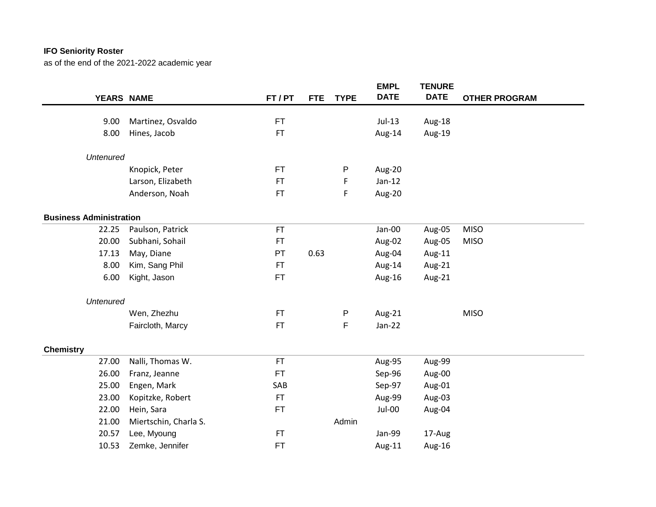|                                |                       |           |                           | <b>EMPL</b><br><b>DATE</b> | <b>TENURE</b><br><b>DATE</b> |                      |
|--------------------------------|-----------------------|-----------|---------------------------|----------------------------|------------------------------|----------------------|
|                                | YEARS NAME            | FT / PT   | <b>FTE</b><br><b>TYPE</b> |                            |                              | <b>OTHER PROGRAM</b> |
| 9.00                           | Martinez, Osvaldo     | FT        |                           | $Jul-13$                   | Aug-18                       |                      |
| 8.00                           | Hines, Jacob          | <b>FT</b> |                           | Aug-14                     | Aug-19                       |                      |
| <b>Untenured</b>               |                       |           |                           |                            |                              |                      |
|                                | Knopick, Peter        | <b>FT</b> | P                         | Aug-20                     |                              |                      |
|                                | Larson, Elizabeth     | <b>FT</b> | F                         | $Jan-12$                   |                              |                      |
|                                | Anderson, Noah        | <b>FT</b> | F                         | Aug-20                     |                              |                      |
| <b>Business Administration</b> |                       |           |                           |                            |                              |                      |
| 22.25                          | Paulson, Patrick      | <b>FT</b> |                           | Jan-00                     | Aug-05                       | <b>MISO</b>          |
| 20.00                          | Subhani, Sohail       | <b>FT</b> |                           | Aug-02                     | Aug-05                       | <b>MISO</b>          |
| 17.13                          | May, Diane            | PT        | 0.63                      | Aug-04                     | Aug-11                       |                      |
| 8.00                           | Kim, Sang Phil        | <b>FT</b> |                           | Aug-14                     | Aug-21                       |                      |
| 6.00                           | Kight, Jason          | <b>FT</b> |                           | Aug-16                     | Aug-21                       |                      |
| <b>Untenured</b>               |                       |           |                           |                            |                              |                      |
|                                | Wen, Zhezhu           | <b>FT</b> | P                         | Aug-21                     |                              | <b>MISO</b>          |
|                                | Faircloth, Marcy      | <b>FT</b> | F                         | Jan-22                     |                              |                      |
| <b>Chemistry</b>               |                       |           |                           |                            |                              |                      |
| 27.00                          | Nalli, Thomas W.      | <b>FT</b> |                           | Aug-95                     | Aug-99                       |                      |
| 26.00                          | Franz, Jeanne         | <b>FT</b> |                           | Sep-96                     | Aug-00                       |                      |
| 25.00                          | Engen, Mark           | SAB       |                           | Sep-97                     | Aug-01                       |                      |
| 23.00                          | Kopitzke, Robert      | <b>FT</b> |                           | Aug-99                     | Aug-03                       |                      |
| 22.00                          | Hein, Sara            | <b>FT</b> |                           | Jul-00                     | Aug-04                       |                      |
| 21.00                          | Miertschin, Charla S. |           | Admin                     |                            |                              |                      |
| 20.57                          | Lee, Myoung           | <b>FT</b> |                           | Jan-99                     | 17-Aug                       |                      |
| 10.53                          | Zemke, Jennifer       | <b>FT</b> |                           | Aug-11                     | Aug-16                       |                      |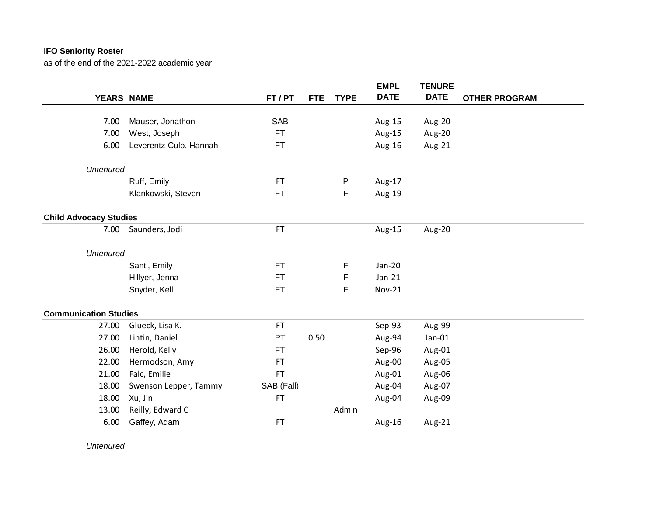as of the end of the 2021-2022 academic year

|                               |                        |            |            |              | <b>EMPL</b>   | <b>TENURE</b> |                      |
|-------------------------------|------------------------|------------|------------|--------------|---------------|---------------|----------------------|
| YEARS NAME                    |                        | FT / PT    | <b>FTE</b> | <b>TYPE</b>  | <b>DATE</b>   | <b>DATE</b>   | <b>OTHER PROGRAM</b> |
|                               |                        |            |            |              |               |               |                      |
| 7.00                          | Mauser, Jonathon       | <b>SAB</b> |            |              | Aug-15        | Aug-20        |                      |
| 7.00                          | West, Joseph           | FT.        |            |              | Aug-15        | Aug-20        |                      |
| 6.00                          | Leverentz-Culp, Hannah | <b>FT</b>  |            |              | Aug-16        | Aug-21        |                      |
| <b>Untenured</b>              |                        |            |            |              |               |               |                      |
|                               | Ruff, Emily            | <b>FT</b>  |            | $\mathsf{P}$ | Aug-17        |               |                      |
|                               | Klankowski, Steven     | FT.        |            | F            | Aug-19        |               |                      |
| <b>Child Advocacy Studies</b> |                        |            |            |              |               |               |                      |
| 7.00                          | Saunders, Jodi         | <b>FT</b>  |            |              | Aug-15        | Aug-20        |                      |
| <b>Untenured</b>              |                        |            |            |              |               |               |                      |
|                               | Santi, Emily           | <b>FT</b>  |            | F            | Jan-20        |               |                      |
|                               | Hillyer, Jenna         | <b>FT</b>  |            | F            | $Jan-21$      |               |                      |
|                               | Snyder, Kelli          | <b>FT</b>  |            | F            | <b>Nov-21</b> |               |                      |
| <b>Communication Studies</b>  |                        |            |            |              |               |               |                      |
| 27.00                         | Glueck, Lisa K.        | <b>FT</b>  |            |              | Sep-93        | Aug-99        |                      |
| 27.00                         | Lintin, Daniel         | PT         | 0.50       |              | Aug-94        | Jan-01        |                      |
| 26.00                         | Herold, Kelly          | FT         |            |              | Sep-96        | Aug-01        |                      |
| 22.00                         | Hermodson, Amy         | <b>FT</b>  |            |              | Aug-00        | Aug-05        |                      |
| 21.00                         | Falc, Emilie           | <b>FT</b>  |            |              | Aug-01        | Aug-06        |                      |
| 18.00                         | Swenson Lepper, Tammy  | SAB (Fall) |            |              | Aug-04        | Aug-07        |                      |
| 18.00                         | Xu, Jin                | <b>FT</b>  |            |              | Aug-04        | Aug-09        |                      |
| 13.00                         | Reilly, Edward C       |            |            | Admin        |               |               |                      |
| 6.00                          | Gaffey, Adam           | <b>FT</b>  |            |              | Aug-16        | Aug-21        |                      |
|                               |                        |            |            |              |               |               |                      |

*Untenured*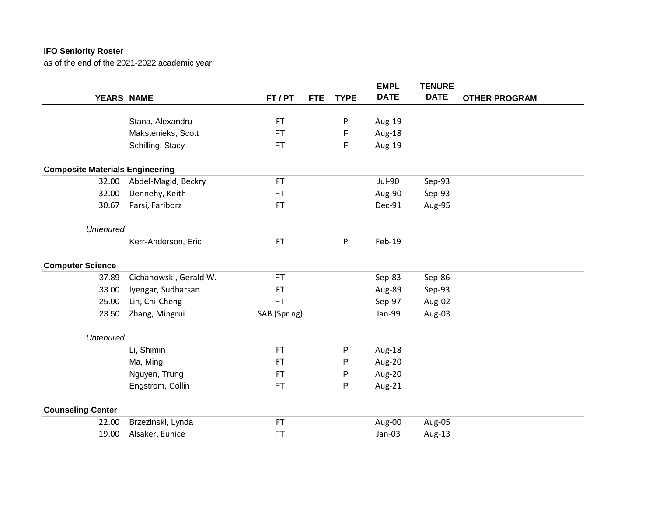|                                        |                        |              |                           | <b>EMPL</b>   | <b>TENURE</b> |                      |
|----------------------------------------|------------------------|--------------|---------------------------|---------------|---------------|----------------------|
| YEARS NAME                             |                        | FT / PT      | <b>TYPE</b><br><b>FTE</b> | <b>DATE</b>   | <b>DATE</b>   | <b>OTHER PROGRAM</b> |
|                                        | Stana, Alexandru       | <b>FT</b>    | P                         | Aug-19        |               |                      |
|                                        | Makstenieks, Scott     | <b>FT</b>    | F                         | Aug-18        |               |                      |
|                                        | Schilling, Stacy       | <b>FT</b>    | F                         | Aug-19        |               |                      |
|                                        |                        |              |                           |               |               |                      |
| <b>Composite Materials Engineering</b> |                        |              |                           |               |               |                      |
| 32.00                                  | Abdel-Magid, Beckry    | <b>FT</b>    |                           | <b>Jul-90</b> | Sep-93        |                      |
| 32.00                                  | Dennehy, Keith         | <b>FT</b>    |                           | Aug-90        | Sep-93        |                      |
| 30.67                                  | Parsi, Fariborz        | <b>FT</b>    |                           | Dec-91        | Aug-95        |                      |
|                                        |                        |              |                           |               |               |                      |
| <b>Untenured</b>                       |                        |              |                           |               |               |                      |
|                                        | Kerr-Anderson, Eric    | <b>FT</b>    | P                         | Feb-19        |               |                      |
| <b>Computer Science</b>                |                        |              |                           |               |               |                      |
| 37.89                                  | Cichanowski, Gerald W. | <b>FT</b>    |                           | Sep-83        | Sep-86        |                      |
| 33.00                                  | Iyengar, Sudharsan     | <b>FT</b>    |                           | Aug-89        | Sep-93        |                      |
| 25.00                                  | Lin, Chi-Cheng         | FT           |                           | Sep-97        | Aug-02        |                      |
| 23.50                                  | Zhang, Mingrui         | SAB (Spring) |                           | Jan-99        | Aug-03        |                      |
| <b>Untenured</b>                       |                        |              |                           |               |               |                      |
|                                        | Li, Shimin             | <b>FT</b>    | P                         | Aug-18        |               |                      |
|                                        | Ma, Ming               | <b>FT</b>    | P                         | Aug-20        |               |                      |
|                                        | Nguyen, Trung          | <b>FT</b>    | P                         | Aug-20        |               |                      |
|                                        | Engstrom, Collin       | <b>FT</b>    | P                         | Aug-21        |               |                      |
| <b>Counseling Center</b>               |                        |              |                           |               |               |                      |
| 22.00                                  | Brzezinski, Lynda      | <b>FT</b>    |                           | Aug-00        | Aug-05        |                      |
| 19.00                                  | Alsaker, Eunice        | <b>FT</b>    |                           | Jan-03        | Aug-13        |                      |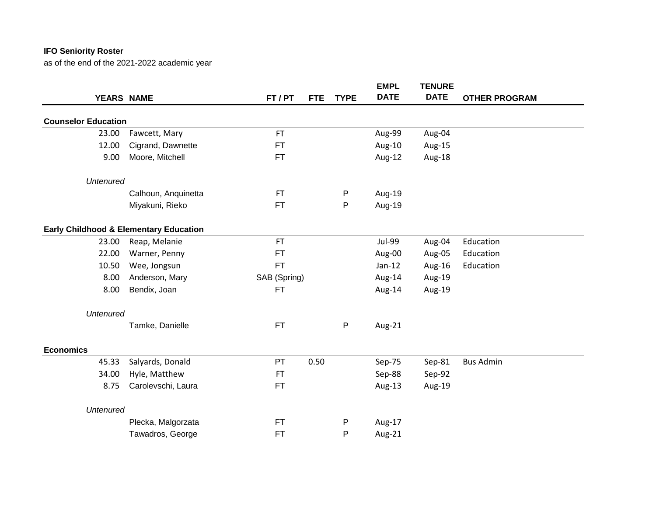|                                                   |                     |              |            |             | <b>EMPL</b> | <b>TENURE</b> |                      |
|---------------------------------------------------|---------------------|--------------|------------|-------------|-------------|---------------|----------------------|
| YEARS NAME                                        |                     | FT/PT        | <b>FTE</b> | <b>TYPE</b> | <b>DATE</b> | <b>DATE</b>   | <b>OTHER PROGRAM</b> |
| <b>Counselor Education</b>                        |                     |              |            |             |             |               |                      |
| 23.00                                             | Fawcett, Mary       | <b>FT</b>    |            |             | Aug-99      | Aug-04        |                      |
| 12.00                                             | Cigrand, Dawnette   | <b>FT</b>    |            |             | Aug-10      | Aug-15        |                      |
| 9.00                                              | Moore, Mitchell     | FT           |            |             | Aug-12      | Aug-18        |                      |
| <b>Untenured</b>                                  |                     |              |            |             |             |               |                      |
|                                                   | Calhoun, Anquinetta | <b>FT</b>    |            | P           | Aug-19      |               |                      |
|                                                   | Miyakuni, Rieko     | <b>FT</b>    |            | P           | Aug-19      |               |                      |
| <b>Early Childhood &amp; Elementary Education</b> |                     |              |            |             |             |               |                      |
| 23.00                                             | Reap, Melanie       | <b>FT</b>    |            |             | Jul-99      | Aug-04        | Education            |
| 22.00                                             | Warner, Penny       | FT           |            |             | Aug-00      | Aug-05        | Education            |
| 10.50                                             | Wee, Jongsun        | <b>FT</b>    |            |             | $Jan-12$    | Aug-16        | Education            |
| 8.00                                              | Anderson, Mary      | SAB (Spring) |            |             | Aug-14      | Aug-19        |                      |
| 8.00                                              | Bendix, Joan        | <b>FT</b>    |            |             | Aug-14      | Aug-19        |                      |
| <b>Untenured</b>                                  |                     |              |            |             |             |               |                      |
|                                                   | Tamke, Danielle     | <b>FT</b>    |            | P           | Aug-21      |               |                      |
| <b>Economics</b>                                  |                     |              |            |             |             |               |                      |
| 45.33                                             | Salyards, Donald    | PT           | 0.50       |             | Sep-75      | Sep-81        | <b>Bus Admin</b>     |
| 34.00                                             | Hyle, Matthew       | FT           |            |             | Sep-88      | Sep-92        |                      |
| 8.75                                              | Carolevschi, Laura  | FT           |            |             | Aug-13      | Aug-19        |                      |
| <b>Untenured</b>                                  |                     |              |            |             |             |               |                      |
|                                                   | Plecka, Malgorzata  | <b>FT</b>    |            | P           | Aug-17      |               |                      |
|                                                   | Tawadros, George    | <b>FT</b>    |            | P           | Aug-21      |               |                      |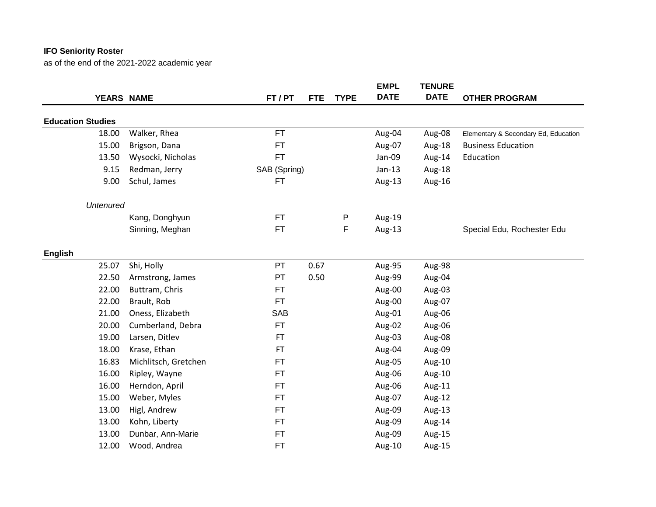|                          |                      |              |            |             | <b>EMPL</b> | <b>TENURE</b> |                                      |
|--------------------------|----------------------|--------------|------------|-------------|-------------|---------------|--------------------------------------|
|                          | YEARS NAME           | FT / PT      | <b>FTE</b> | <b>TYPE</b> | <b>DATE</b> | <b>DATE</b>   | <b>OTHER PROGRAM</b>                 |
| <b>Education Studies</b> |                      |              |            |             |             |               |                                      |
| 18.00                    | Walker, Rhea         | <b>FT</b>    |            |             | Aug-04      | Aug-08        | Elementary & Secondary Ed, Education |
| 15.00                    | Brigson, Dana        | <b>FT</b>    |            |             | Aug-07      | Aug-18        | <b>Business Education</b>            |
| 13.50                    | Wysocki, Nicholas    | <b>FT</b>    |            |             | Jan-09      | Aug-14        | Education                            |
| 9.15                     | Redman, Jerry        | SAB (Spring) |            |             | $Jan-13$    | Aug-18        |                                      |
| 9.00                     | Schul, James         | <b>FT</b>    |            |             | Aug-13      | Aug-16        |                                      |
| <b>Untenured</b>         |                      |              |            |             |             |               |                                      |
|                          | Kang, Donghyun       | <b>FT</b>    |            | P           | Aug-19      |               |                                      |
|                          | Sinning, Meghan      | <b>FT</b>    |            | F           | Aug-13      |               | Special Edu, Rochester Edu           |
| <b>English</b>           |                      |              |            |             |             |               |                                      |
| 25.07                    | Shi, Holly           | PT           | 0.67       |             | Aug-95      | Aug-98        |                                      |
| 22.50                    | Armstrong, James     | PT           | 0.50       |             | Aug-99      | Aug-04        |                                      |
| 22.00                    | Buttram, Chris       | <b>FT</b>    |            |             | Aug-00      | Aug-03        |                                      |
| 22.00                    | Brault, Rob          | <b>FT</b>    |            |             | Aug-00      | Aug-07        |                                      |
| 21.00                    | Oness, Elizabeth     | <b>SAB</b>   |            |             | Aug-01      | Aug-06        |                                      |
| 20.00                    | Cumberland, Debra    | <b>FT</b>    |            |             | Aug-02      | Aug-06        |                                      |
| 19.00                    | Larsen, Ditlev       | <b>FT</b>    |            |             | Aug-03      | Aug-08        |                                      |
| 18.00                    | Krase, Ethan         | <b>FT</b>    |            |             | Aug-04      | Aug-09        |                                      |
| 16.83                    | Michlitsch, Gretchen | FT           |            |             | Aug-05      | Aug-10        |                                      |
| 16.00                    | Ripley, Wayne        | <b>FT</b>    |            |             | Aug-06      | Aug-10        |                                      |
| 16.00                    | Herndon, April       | <b>FT</b>    |            |             | Aug-06      | Aug-11        |                                      |
| 15.00                    | Weber, Myles         | <b>FT</b>    |            |             | Aug-07      | Aug-12        |                                      |
| 13.00                    | Higl, Andrew         | <b>FT</b>    |            |             | Aug-09      | Aug-13        |                                      |
| 13.00                    | Kohn, Liberty        | <b>FT</b>    |            |             | Aug-09      | Aug-14        |                                      |
| 13.00                    | Dunbar, Ann-Marie    | <b>FT</b>    |            |             | Aug-09      | Aug-15        |                                      |
| 12.00                    | Wood, Andrea         | <b>FT</b>    |            |             | Aug-10      | Aug-15        |                                      |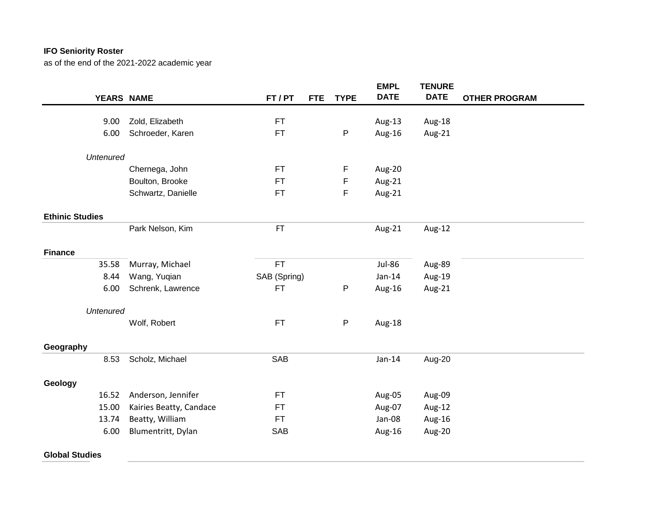|                        |                         |              |                           | <b>EMPL</b>   | <b>TENURE</b> |                      |
|------------------------|-------------------------|--------------|---------------------------|---------------|---------------|----------------------|
| YEARS NAME             |                         | FT/PT        | <b>TYPE</b><br><b>FTE</b> | <b>DATE</b>   | <b>DATE</b>   | <b>OTHER PROGRAM</b> |
| 9.00                   | Zold, Elizabeth         | <b>FT</b>    |                           | Aug-13        | Aug-18        |                      |
| 6.00                   | Schroeder, Karen        | <b>FT</b>    | P                         |               |               |                      |
|                        |                         |              |                           | Aug-16        | Aug-21        |                      |
| <b>Untenured</b>       |                         |              |                           |               |               |                      |
|                        | Chernega, John          | FT           | F                         | Aug-20        |               |                      |
|                        | Boulton, Brooke         | FT           | F                         | Aug-21        |               |                      |
|                        | Schwartz, Danielle      | FT           | F                         | Aug-21        |               |                      |
| <b>Ethinic Studies</b> |                         |              |                           |               |               |                      |
|                        | Park Nelson, Kim        | <b>FT</b>    |                           | Aug-21        | Aug-12        |                      |
| <b>Finance</b>         |                         |              |                           |               |               |                      |
| 35.58                  | Murray, Michael         | <b>FT</b>    |                           | <b>Jul-86</b> | Aug-89        |                      |
| 8.44                   | Wang, Yuqian            | SAB (Spring) |                           | $Jan-14$      | Aug-19        |                      |
| 6.00                   | Schrenk, Lawrence       | <b>FT</b>    | $\mathsf{P}$              | Aug-16        | Aug-21        |                      |
| <b>Untenured</b>       |                         |              |                           |               |               |                      |
|                        | Wolf, Robert            | <b>FT</b>    | $\mathsf P$               | Aug-18        |               |                      |
| Geography              |                         |              |                           |               |               |                      |
| 8.53                   | Scholz, Michael         | SAB          |                           | $Jan-14$      | Aug-20        |                      |
| Geology                |                         |              |                           |               |               |                      |
| 16.52                  | Anderson, Jennifer      | <b>FT</b>    |                           | Aug-05        | Aug-09        |                      |
| 15.00                  | Kairies Beatty, Candace | FT           |                           | Aug-07        | Aug-12        |                      |
| 13.74                  | Beatty, William         | <b>FT</b>    |                           | Jan-08        | Aug-16        |                      |
| 6.00                   | Blumentritt, Dylan      | SAB          |                           | Aug-16        | Aug-20        |                      |
|                        |                         |              |                           |               |               |                      |
| <b>Global Studies</b>  |                         |              |                           |               |               |                      |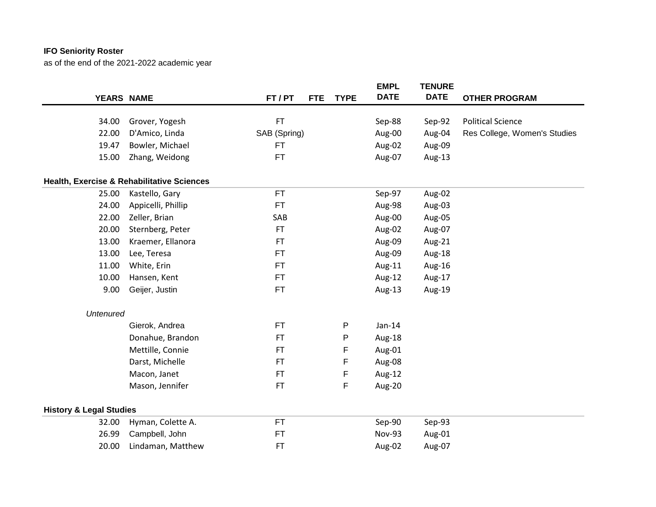|                                    |                                            |              |            |             | <b>EMPL</b> | <b>TENURE</b> |                              |
|------------------------------------|--------------------------------------------|--------------|------------|-------------|-------------|---------------|------------------------------|
| YEARS NAME                         |                                            | FT / PT      | <b>FTE</b> | <b>TYPE</b> | <b>DATE</b> | <b>DATE</b>   | <b>OTHER PROGRAM</b>         |
| 34.00                              | Grover, Yogesh                             | <b>FT</b>    |            |             | Sep-88      | Sep-92        | <b>Political Science</b>     |
| 22.00                              | D'Amico, Linda                             | SAB (Spring) |            |             | Aug-00      | Aug-04        | Res College, Women's Studies |
| 19.47                              | Bowler, Michael                            | <b>FT</b>    |            |             | Aug-02      | Aug-09        |                              |
|                                    |                                            |              |            |             |             |               |                              |
| 15.00                              | Zhang, Weidong                             | <b>FT</b>    |            |             | Aug-07      | Aug-13        |                              |
|                                    | Health, Exercise & Rehabilitative Sciences |              |            |             |             |               |                              |
| 25.00                              | Kastello, Gary                             | <b>FT</b>    |            |             | Sep-97      | Aug-02        |                              |
| 24.00                              | Appicelli, Phillip                         | <b>FT</b>    |            |             | Aug-98      | Aug-03        |                              |
| 22.00                              | Zeller, Brian                              | SAB          |            |             | Aug-00      | Aug-05        |                              |
| 20.00                              | Sternberg, Peter                           | FT           |            |             | Aug-02      | Aug-07        |                              |
| 13.00                              | Kraemer, Ellanora                          | FT.          |            |             | Aug-09      | Aug-21        |                              |
| 13.00                              | Lee, Teresa                                | <b>FT</b>    |            |             | Aug-09      | Aug-18        |                              |
| 11.00                              | White, Erin                                | <b>FT</b>    |            |             | Aug-11      | Aug-16        |                              |
| 10.00                              | Hansen, Kent                               | <b>FT</b>    |            |             | Aug-12      | Aug-17        |                              |
| 9.00                               | Geijer, Justin                             | FT           |            |             | Aug-13      | Aug-19        |                              |
| <b>Untenured</b>                   |                                            |              |            |             |             |               |                              |
|                                    | Gierok, Andrea                             | FT           |            | P           | $Jan-14$    |               |                              |
|                                    | Donahue, Brandon                           | <b>FT</b>    |            | P           | Aug-18      |               |                              |
|                                    | Mettille, Connie                           | <b>FT</b>    |            | F           | Aug-01      |               |                              |
|                                    | Darst, Michelle                            | <b>FT</b>    |            | F           | Aug-08      |               |                              |
|                                    | Macon, Janet                               | <b>FT</b>    |            | F           | Aug-12      |               |                              |
|                                    | Mason, Jennifer                            | <b>FT</b>    |            | F           | Aug-20      |               |                              |
| <b>History &amp; Legal Studies</b> |                                            |              |            |             |             |               |                              |
| 32.00                              | Hyman, Colette A.                          | <b>FT</b>    |            |             | Sep-90      | Sep-93        |                              |
| 26.99                              | Campbell, John                             | <b>FT</b>    |            |             | Nov-93      | Aug-01        |                              |
| 20.00                              | Lindaman, Matthew                          | <b>FT</b>    |            |             | Aug-02      | Aug-07        |                              |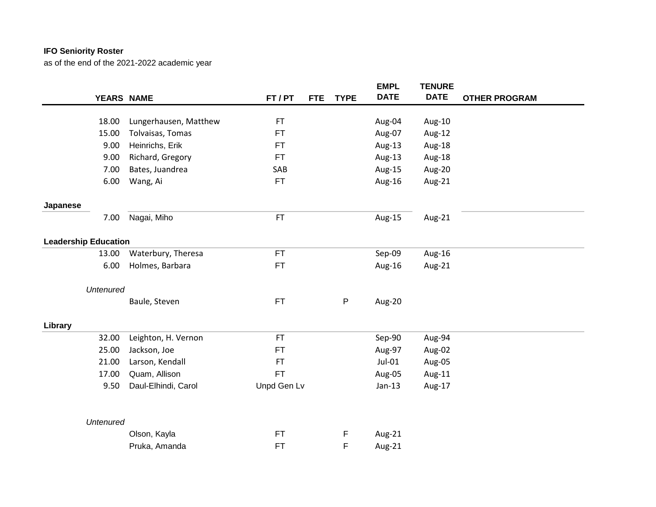|                             |                       |             |            |              | <b>EMPL</b> | <b>TENURE</b> |                      |
|-----------------------------|-----------------------|-------------|------------|--------------|-------------|---------------|----------------------|
| YEARS NAME                  |                       | FT/PT       | <b>FTE</b> | <b>TYPE</b>  | <b>DATE</b> | <b>DATE</b>   | <b>OTHER PROGRAM</b> |
|                             |                       |             |            |              |             |               |                      |
| 18.00                       | Lungerhausen, Matthew | FT          |            |              | Aug-04      | Aug-10        |                      |
| 15.00                       | Tolvaisas, Tomas      | FT.         |            |              | Aug-07      | Aug-12        |                      |
| 9.00                        | Heinrichs, Erik       | FT.         |            |              | Aug-13      | Aug-18        |                      |
| 9.00                        | Richard, Gregory      | FT.         |            |              | Aug-13      | Aug-18        |                      |
| 7.00                        | Bates, Juandrea       | SAB         |            |              | Aug-15      | Aug-20        |                      |
| 6.00                        | Wang, Ai              | FT          |            |              | Aug-16      | Aug-21        |                      |
| Japanese                    |                       |             |            |              |             |               |                      |
| 7.00                        | Nagai, Miho           | FT          |            |              | Aug-15      | Aug-21        |                      |
| <b>Leadership Education</b> |                       |             |            |              |             |               |                      |
| 13.00                       | Waterbury, Theresa    | <b>FT</b>   |            |              | Sep-09      | Aug-16        |                      |
| 6.00                        | Holmes, Barbara       | FT          |            |              | Aug-16      | Aug-21        |                      |
| <b>Untenured</b>            |                       |             |            |              |             |               |                      |
|                             | Baule, Steven         | <b>FT</b>   |            | $\mathsf{P}$ | Aug-20      |               |                      |
| Library                     |                       |             |            |              |             |               |                      |
| 32.00                       | Leighton, H. Vernon   | <b>FT</b>   |            |              | Sep-90      | Aug-94        |                      |
| 25.00                       | Jackson, Joe          | FT          |            |              | Aug-97      | Aug-02        |                      |
| 21.00                       | Larson, Kendall       | <b>FT</b>   |            |              | Jul-01      | Aug-05        |                      |
| 17.00                       | Quam, Allison         | FT.         |            |              | Aug-05      | Aug-11        |                      |
| 9.50                        | Daul-Elhindi, Carol   | Unpd Gen Lv |            |              | $Jan-13$    | Aug-17        |                      |
|                             |                       |             |            |              |             |               |                      |
| <b>Untenured</b>            |                       |             |            |              |             |               |                      |
|                             | Olson, Kayla          | <b>FT</b>   |            | F            | Aug-21      |               |                      |
|                             | Pruka, Amanda         | FT          |            | F            | Aug-21      |               |                      |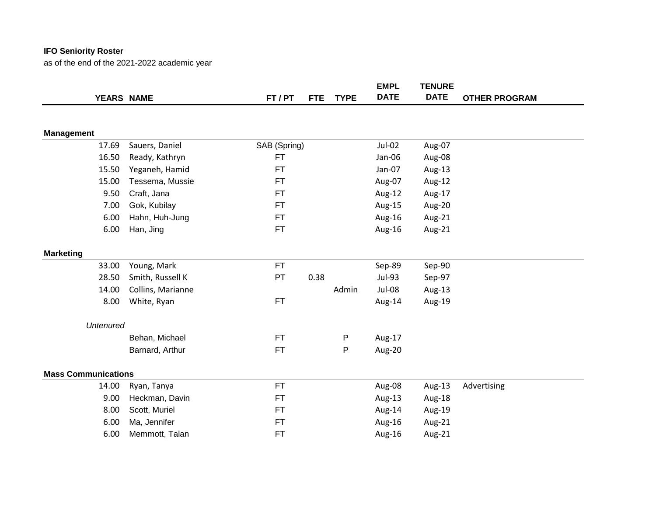|                            |                   |              |            |             | <b>EMPL</b> | <b>TENURE</b> |                      |
|----------------------------|-------------------|--------------|------------|-------------|-------------|---------------|----------------------|
|                            | YEARS NAME        | FT / PT      | <b>FTE</b> | <b>TYPE</b> | <b>DATE</b> | <b>DATE</b>   | <b>OTHER PROGRAM</b> |
|                            |                   |              |            |             |             |               |                      |
|                            |                   |              |            |             |             |               |                      |
| <b>Management</b>          |                   |              |            |             |             |               |                      |
| 17.69                      | Sauers, Daniel    | SAB (Spring) |            |             | Jul-02      | Aug-07        |                      |
| 16.50                      | Ready, Kathryn    | <b>FT</b>    |            |             | Jan-06      | Aug-08        |                      |
| 15.50                      | Yeganeh, Hamid    | <b>FT</b>    |            |             | Jan-07      | Aug-13        |                      |
| 15.00                      | Tessema, Mussie   | <b>FT</b>    |            |             | Aug-07      | Aug-12        |                      |
| 9.50                       | Craft, Jana       | FT           |            |             | Aug-12      | Aug-17        |                      |
| 7.00                       | Gok, Kubilay      | <b>FT</b>    |            |             | Aug-15      | Aug-20        |                      |
| 6.00                       | Hahn, Huh-Jung    | <b>FT</b>    |            |             | Aug-16      | Aug-21        |                      |
| 6.00                       | Han, Jing         | <b>FT</b>    |            |             | Aug-16      | Aug-21        |                      |
| <b>Marketing</b>           |                   |              |            |             |             |               |                      |
| 33.00                      | Young, Mark       | <b>FT</b>    |            |             | Sep-89      | Sep-90        |                      |
| 28.50                      | Smith, Russell K  | PT           | 0.38       |             | Jul-93      | Sep-97        |                      |
| 14.00                      | Collins, Marianne |              |            | Admin       | Jul-08      | Aug-13        |                      |
| 8.00                       | White, Ryan       | <b>FT</b>    |            |             | Aug-14      | Aug-19        |                      |
| <b>Untenured</b>           |                   |              |            |             |             |               |                      |
|                            | Behan, Michael    | <b>FT</b>    |            | P           | Aug-17      |               |                      |
|                            | Barnard, Arthur   | <b>FT</b>    |            | P           | Aug-20      |               |                      |
| <b>Mass Communications</b> |                   |              |            |             |             |               |                      |
| 14.00                      | Ryan, Tanya       | <b>FT</b>    |            |             | Aug-08      | Aug-13        | Advertising          |
| 9.00                       | Heckman, Davin    | <b>FT</b>    |            |             | Aug-13      | Aug-18        |                      |
| 8.00                       | Scott, Muriel     | <b>FT</b>    |            |             | Aug-14      | Aug-19        |                      |
| 6.00                       | Ma, Jennifer      | <b>FT</b>    |            |             | Aug-16      | Aug-21        |                      |
| 6.00                       | Memmott, Talan    | <b>FT</b>    |            |             | Aug-16      | Aug-21        |                      |
|                            |                   |              |            |             |             |               |                      |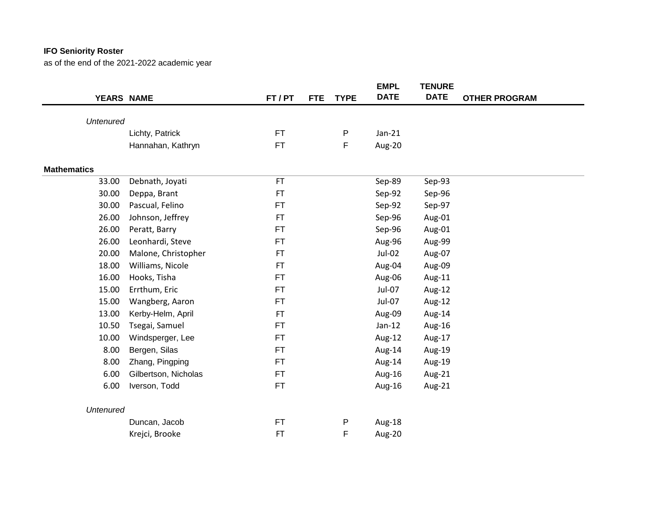| YEARS NAME         |                      | FT / PT   | <b>TYPE</b><br><b>FTE</b> | <b>EMPL</b><br><b>DATE</b> | <b>TENURE</b><br><b>DATE</b> | <b>OTHER PROGRAM</b> |
|--------------------|----------------------|-----------|---------------------------|----------------------------|------------------------------|----------------------|
|                    |                      |           |                           |                            |                              |                      |
| <b>Untenured</b>   |                      | <b>FT</b> |                           | $Jan-21$                   |                              |                      |
|                    | Lichty, Patrick      |           | P                         |                            |                              |                      |
|                    | Hannahan, Kathryn    | <b>FT</b> | F                         | Aug-20                     |                              |                      |
| <b>Mathematics</b> |                      |           |                           |                            |                              |                      |
| 33.00              | Debnath, Joyati      | <b>FT</b> |                           | Sep-89                     | Sep-93                       |                      |
| 30.00              | Deppa, Brant         | <b>FT</b> |                           | Sep-92                     | Sep-96                       |                      |
| 30.00              | Pascual, Felino      | <b>FT</b> |                           | Sep-92                     | Sep-97                       |                      |
| 26.00              | Johnson, Jeffrey     | <b>FT</b> |                           | Sep-96                     | Aug-01                       |                      |
| 26.00              | Peratt, Barry        | <b>FT</b> |                           | Sep-96                     | Aug-01                       |                      |
| 26.00              | Leonhardi, Steve     | <b>FT</b> |                           | Aug-96                     | Aug-99                       |                      |
| 20.00              | Malone, Christopher  | <b>FT</b> |                           | Jul-02                     | Aug-07                       |                      |
| 18.00              | Williams, Nicole     | <b>FT</b> |                           | Aug-04                     | Aug-09                       |                      |
| 16.00              | Hooks, Tisha         | <b>FT</b> |                           | Aug-06                     | Aug-11                       |                      |
| 15.00              | Errthum, Eric        | <b>FT</b> |                           | Jul-07                     | Aug-12                       |                      |
| 15.00              | Wangberg, Aaron      | <b>FT</b> |                           | Jul-07                     | Aug-12                       |                      |
| 13.00              | Kerby-Helm, April    | <b>FT</b> |                           | Aug-09                     | Aug-14                       |                      |
| 10.50              | Tsegai, Samuel       | <b>FT</b> |                           | $Jan-12$                   | Aug-16                       |                      |
| 10.00              | Windsperger, Lee     | <b>FT</b> |                           | Aug-12                     | Aug-17                       |                      |
| 8.00               | Bergen, Silas        | <b>FT</b> |                           | Aug-14                     | Aug-19                       |                      |
| 8.00               | Zhang, Pingping      | <b>FT</b> |                           | Aug-14                     | Aug-19                       |                      |
| 6.00               | Gilbertson, Nicholas | <b>FT</b> |                           | Aug-16                     | Aug-21                       |                      |
| 6.00               | Iverson, Todd        | <b>FT</b> |                           | Aug-16                     | Aug-21                       |                      |
| <b>Untenured</b>   |                      |           |                           |                            |                              |                      |
|                    | Duncan, Jacob        | <b>FT</b> | P                         | Aug-18                     |                              |                      |
|                    | Krejci, Brooke       | FT        | F                         | Aug-20                     |                              |                      |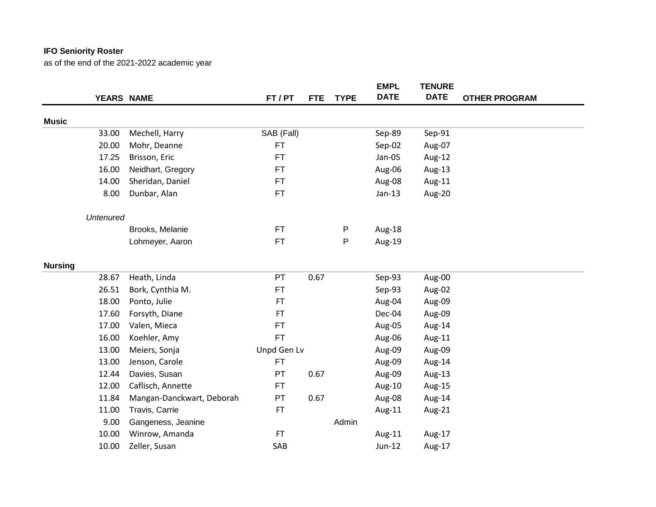|                |                  |                           |             |            |              | <b>EMPL</b> | <b>TENURE</b> |                      |
|----------------|------------------|---------------------------|-------------|------------|--------------|-------------|---------------|----------------------|
|                | YEARS NAME       |                           | FT/PT       | <b>FTE</b> | <b>TYPE</b>  | <b>DATE</b> | <b>DATE</b>   | <b>OTHER PROGRAM</b> |
| <b>Music</b>   |                  |                           |             |            |              |             |               |                      |
|                | 33.00            | Mechell, Harry            | SAB (Fall)  |            |              | Sep-89      | Sep-91        |                      |
|                | 20.00            | Mohr, Deanne              | <b>FT</b>   |            |              | Sep-02      | Aug-07        |                      |
|                | 17.25            | Brisson, Eric             | <b>FT</b>   |            |              | Jan-05      | Aug-12        |                      |
|                | 16.00            | Neidhart, Gregory         | <b>FT</b>   |            |              | Aug-06      | Aug-13        |                      |
|                | 14.00            | Sheridan, Daniel          | <b>FT</b>   |            |              | Aug-08      | Aug-11        |                      |
|                | 8.00             | Dunbar, Alan              | <b>FT</b>   |            |              | $Jan-13$    | Aug-20        |                      |
|                | <b>Untenured</b> |                           |             |            |              |             |               |                      |
|                |                  | Brooks, Melanie           | <b>FT</b>   |            | $\mathsf{P}$ | Aug-18      |               |                      |
|                |                  | Lohmeyer, Aaron           | <b>FT</b>   |            | P            | Aug-19      |               |                      |
| <b>Nursing</b> |                  |                           |             |            |              |             |               |                      |
|                | 28.67            | Heath, Linda              | PT          | 0.67       |              | Sep-93      | Aug-00        |                      |
|                | 26.51            | Bork, Cynthia M.          | <b>FT</b>   |            |              | Sep-93      | Aug-02        |                      |
|                | 18.00            | Ponto, Julie              | <b>FT</b>   |            |              | Aug-04      | Aug-09        |                      |
|                | 17.60            | Forsyth, Diane            | <b>FT</b>   |            |              | Dec-04      | Aug-09        |                      |
|                | 17.00            | Valen, Mieca              | <b>FT</b>   |            |              | Aug-05      | Aug-14        |                      |
|                | 16.00            | Koehler, Amy              | <b>FT</b>   |            |              | Aug-06      | Aug-11        |                      |
|                | 13.00            | Meiers, Sonja             | Unpd Gen Lv |            |              | Aug-09      | Aug-09        |                      |
|                | 13.00            | Jenson, Carole            | <b>FT</b>   |            |              | Aug-09      | Aug-14        |                      |
|                | 12.44            | Davies, Susan             | PT          | 0.67       |              | Aug-09      | Aug-13        |                      |
|                | 12.00            | Caflisch, Annette         | <b>FT</b>   |            |              | Aug-10      | Aug-15        |                      |
|                | 11.84            | Mangan-Danckwart, Deborah | PT          | 0.67       |              | Aug-08      | Aug-14        |                      |
|                | 11.00            | Travis, Carrie            | <b>FT</b>   |            |              | Aug-11      | Aug-21        |                      |
|                | 9.00             | Gangeness, Jeanine        |             |            | Admin        |             |               |                      |
|                | 10.00            | Winrow, Amanda            | FT          |            |              | Aug-11      | Aug-17        |                      |
|                | 10.00            | Zeller, Susan             | SAB         |            |              | Jun-12      | Aug-17        |                      |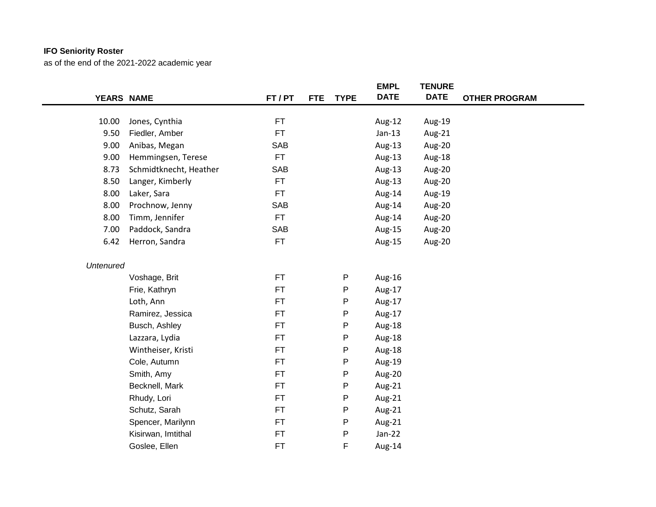|                  |                        |            |            |             | <b>EMPL</b> | <b>TENURE</b> |                      |  |
|------------------|------------------------|------------|------------|-------------|-------------|---------------|----------------------|--|
| YEARS NAME       |                        | FT/PT      | <b>FTE</b> | <b>TYPE</b> | <b>DATE</b> | <b>DATE</b>   | <b>OTHER PROGRAM</b> |  |
|                  |                        |            |            |             |             |               |                      |  |
| 10.00            | Jones, Cynthia         | <b>FT</b>  |            |             | Aug-12      | Aug-19        |                      |  |
| 9.50             | Fiedler, Amber         | <b>FT</b>  |            |             | $Jan-13$    | Aug-21        |                      |  |
| 9.00             | Anibas, Megan          | <b>SAB</b> |            |             | Aug-13      | Aug-20        |                      |  |
| 9.00             | Hemmingsen, Terese     | <b>FT</b>  |            |             | Aug-13      | Aug-18        |                      |  |
| 8.73             | Schmidtknecht, Heather | SAB        |            |             | Aug-13      | Aug-20        |                      |  |
| 8.50             | Langer, Kimberly       | <b>FT</b>  |            |             | Aug-13      | Aug-20        |                      |  |
| 8.00             | Laker, Sara            | FT.        |            |             | Aug-14      | Aug-19        |                      |  |
| 8.00             | Prochnow, Jenny        | SAB        |            |             | Aug-14      | Aug-20        |                      |  |
| 8.00             | Timm, Jennifer         | <b>FT</b>  |            |             | Aug-14      | Aug-20        |                      |  |
| 7.00             | Paddock, Sandra        | SAB        |            |             | Aug-15      | Aug-20        |                      |  |
| 6.42             | Herron, Sandra         | <b>FT</b>  |            |             | Aug-15      | Aug-20        |                      |  |
| <b>Untenured</b> |                        |            |            |             |             |               |                      |  |
|                  | Voshage, Brit          | <b>FT</b>  |            | Ρ           | Aug-16      |               |                      |  |
|                  | Frie, Kathryn          | FT         |            | Ρ           | Aug-17      |               |                      |  |
|                  | Loth, Ann              | <b>FT</b>  |            | P           | Aug-17      |               |                      |  |
|                  | Ramirez, Jessica       | <b>FT</b>  |            | Ρ           | Aug-17      |               |                      |  |
|                  | Busch, Ashley          | FT         |            | Ρ           | Aug-18      |               |                      |  |
|                  | Lazzara, Lydia         | <b>FT</b>  |            | P           | Aug-18      |               |                      |  |
|                  | Wintheiser, Kristi     | <b>FT</b>  |            | Ρ           | Aug-18      |               |                      |  |
|                  | Cole, Autumn           | <b>FT</b>  |            | Ρ           | Aug-19      |               |                      |  |
|                  | Smith, Amy             | <b>FT</b>  |            | P           | Aug-20      |               |                      |  |
|                  | Becknell, Mark         | <b>FT</b>  |            | P           | Aug-21      |               |                      |  |
|                  | Rhudy, Lori            | <b>FT</b>  |            | P           | Aug-21      |               |                      |  |
|                  | Schutz, Sarah          | <b>FT</b>  |            | Ρ           | Aug-21      |               |                      |  |
|                  | Spencer, Marilynn      | <b>FT</b>  |            | P           | Aug-21      |               |                      |  |
|                  | Kisirwan, Imtithal     | <b>FT</b>  |            | P           | Jan-22      |               |                      |  |
|                  | Goslee, Ellen          | <b>FT</b>  |            | F           | Aug-14      |               |                      |  |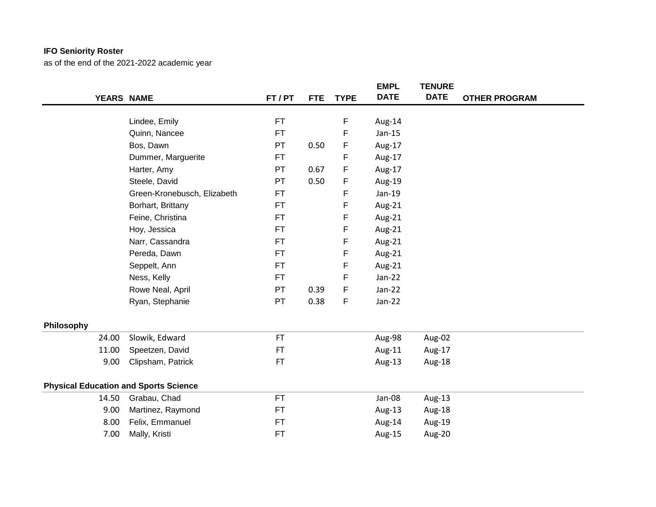|            |                                              |           |            |             | <b>EMPL</b> | <b>TENURE</b> |                      |
|------------|----------------------------------------------|-----------|------------|-------------|-------------|---------------|----------------------|
|            | YEARS NAME                                   | FT / PT   | <b>FTE</b> | <b>TYPE</b> | <b>DATE</b> | <b>DATE</b>   | <b>OTHER PROGRAM</b> |
|            |                                              |           |            |             |             |               |                      |
|            | Lindee, Emily                                | <b>FT</b> |            | F           | Aug-14      |               |                      |
|            | Quinn, Nancee                                | <b>FT</b> |            | F           | $Jan-15$    |               |                      |
|            | Bos, Dawn                                    | <b>PT</b> | 0.50       | F           | Aug-17      |               |                      |
|            | Dummer, Marguerite                           | <b>FT</b> |            | F           | Aug-17      |               |                      |
|            | Harter, Amy                                  | PT        | 0.67       | F           | Aug-17      |               |                      |
|            | Steele, David                                | PT        | 0.50       | F           | Aug-19      |               |                      |
|            | Green-Kronebusch, Elizabeth                  | <b>FT</b> |            | F           | Jan-19      |               |                      |
|            | Borhart, Brittany                            | <b>FT</b> |            | F           | Aug-21      |               |                      |
|            | Feine, Christina                             | FT        |            | F           | Aug-21      |               |                      |
|            | Hoy, Jessica                                 | <b>FT</b> |            | F           | Aug-21      |               |                      |
|            | Narr, Cassandra                              | <b>FT</b> |            | F           | Aug-21      |               |                      |
|            | Pereda, Dawn                                 | <b>FT</b> |            | F           | Aug-21      |               |                      |
|            | Seppelt, Ann                                 | <b>FT</b> |            | F           | Aug-21      |               |                      |
|            | Ness, Kelly                                  | <b>FT</b> |            | F           | $Jan-22$    |               |                      |
|            | Rowe Neal, April                             | PT        | 0.39       | F           | $Jan-22$    |               |                      |
|            | Ryan, Stephanie                              | PT        | 0.38       | F           | $Jan-22$    |               |                      |
| Philosophy |                                              |           |            |             |             |               |                      |
| 24.00      | Slowik, Edward                               | <b>FT</b> |            |             | Aug-98      | Aug-02        |                      |
| 11.00      | Speetzen, David                              | <b>FT</b> |            |             | Aug-11      | Aug-17        |                      |
| 9.00       | Clipsham, Patrick                            | <b>FT</b> |            |             | Aug-13      | Aug-18        |                      |
|            |                                              |           |            |             |             |               |                      |
|            | <b>Physical Education and Sports Science</b> |           |            |             |             |               |                      |
| 14.50      | Grabau, Chad                                 | <b>FT</b> |            |             | Jan-08      | Aug-13        |                      |
| 9.00       | Martinez, Raymond                            | FT        |            |             | Aug-13      | Aug-18        |                      |
| 8.00       | Felix, Emmanuel                              | <b>FT</b> |            |             | Aug-14      | Aug-19        |                      |
| 7.00       | Mally, Kristi                                | <b>FT</b> |            |             | Aug-15      | Aug-20        |                      |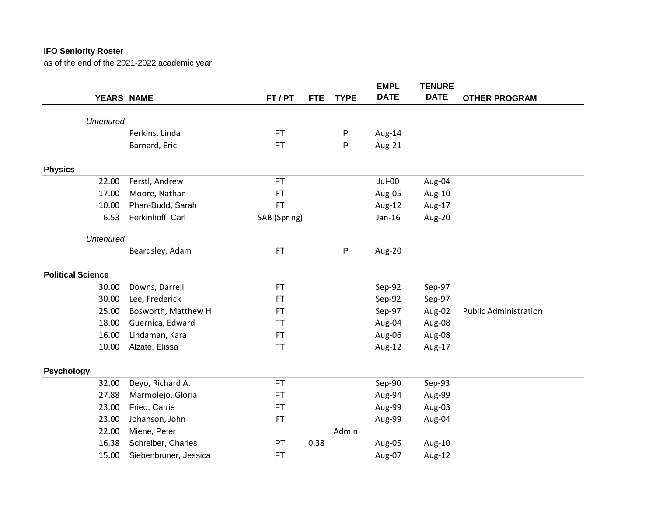|                          |                       |              |            |              | <b>EMPL</b> | <b>TENURE</b> |                              |
|--------------------------|-----------------------|--------------|------------|--------------|-------------|---------------|------------------------------|
| YEARS NAME               |                       | FT / PT      | <b>FTE</b> | <b>TYPE</b>  | <b>DATE</b> | <b>DATE</b>   | <b>OTHER PROGRAM</b>         |
|                          |                       |              |            |              |             |               |                              |
| <b>Untenured</b>         |                       |              |            |              |             |               |                              |
|                          | Perkins, Linda        | FT           |            | P            | Aug-14      |               |                              |
|                          | Barnard, Eric         | <b>FT</b>    |            | P            | Aug-21      |               |                              |
| <b>Physics</b>           |                       |              |            |              |             |               |                              |
| 22.00                    | Ferstl, Andrew        | <b>FT</b>    |            |              | Jul-00      | Aug-04        |                              |
| 17.00                    | Moore, Nathan         | <b>FT</b>    |            |              | Aug-05      | Aug-10        |                              |
| 10.00                    | Phan-Budd, Sarah      | <b>FT</b>    |            |              | Aug-12      | Aug-17        |                              |
| 6.53                     | Ferkinhoff, Carl      | SAB (Spring) |            |              | Jan-16      | Aug-20        |                              |
| <b>Untenured</b>         |                       |              |            |              |             |               |                              |
|                          | Beardsley, Adam       | <b>FT</b>    |            | $\mathsf{P}$ | Aug-20      |               |                              |
| <b>Political Science</b> |                       |              |            |              |             |               |                              |
| 30.00                    | Downs, Darrell        | <b>FT</b>    |            |              | Sep-92      | Sep-97        |                              |
| 30.00                    | Lee, Frederick        | FT           |            |              | Sep-92      | Sep-97        |                              |
| 25.00                    | Bosworth, Matthew H   | <b>FT</b>    |            |              | Sep-97      | Aug-02        | <b>Public Administration</b> |
| 18.00                    | Guernica, Edward      | FT           |            |              | Aug-04      | Aug-08        |                              |
| 16.00                    | Lindaman, Kara        | FT           |            |              | Aug-06      | Aug-08        |                              |
| 10.00                    | Alzate, Elissa        | <b>FT</b>    |            |              | Aug-12      | Aug-17        |                              |
| <b>Psychology</b>        |                       |              |            |              |             |               |                              |
| 32.00                    | Deyo, Richard A.      | <b>FT</b>    |            |              | Sep-90      | Sep-93        |                              |
| 27.88                    | Marmolejo, Gloria     | FT           |            |              | Aug-94      | Aug-99        |                              |
| 23.00                    | Fried, Carrie         | FT           |            |              | Aug-99      | Aug-03        |                              |
| 23.00                    | Johanson, John        | <b>FT</b>    |            |              | Aug-99      | Aug-04        |                              |
| 22.00                    | Miene, Peter          |              |            | Admin        |             |               |                              |
| 16.38                    | Schreiber, Charles    | PT           | 0.38       |              | Aug-05      | Aug-10        |                              |
| 15.00                    | Siebenbruner, Jessica | <b>FT</b>    |            |              | Aug-07      | Aug-12        |                              |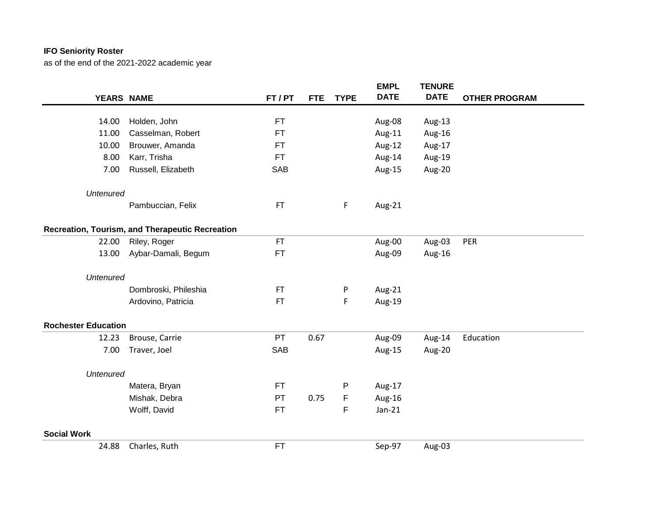|                            |                                                 |            |            |             | <b>EMPL</b> | <b>TENURE</b> |                      |
|----------------------------|-------------------------------------------------|------------|------------|-------------|-------------|---------------|----------------------|
|                            | YEARS NAME                                      | FT/PT      | <b>FTE</b> | <b>TYPE</b> | <b>DATE</b> | <b>DATE</b>   | <b>OTHER PROGRAM</b> |
|                            |                                                 |            |            |             |             |               |                      |
| 14.00                      | Holden, John                                    | FT         |            |             | Aug-08      | Aug-13        |                      |
| 11.00                      | Casselman, Robert                               | FT         |            |             | Aug-11      | Aug-16        |                      |
| 10.00                      | Brouwer, Amanda                                 | FT         |            |             | Aug-12      | Aug-17        |                      |
| 8.00                       | Karr, Trisha                                    | <b>FT</b>  |            |             | Aug-14      | Aug-19        |                      |
| 7.00                       | Russell, Elizabeth                              | <b>SAB</b> |            |             | Aug-15      | Aug-20        |                      |
| <b>Untenured</b>           |                                                 |            |            |             |             |               |                      |
|                            | Pambuccian, Felix                               | <b>FT</b>  |            | F           | Aug-21      |               |                      |
|                            | Recreation, Tourism, and Therapeutic Recreation |            |            |             |             |               |                      |
| 22.00                      | Riley, Roger                                    | <b>FT</b>  |            |             | Aug-00      | Aug-03        | PER                  |
| 13.00                      | Aybar-Damali, Begum                             | <b>FT</b>  |            |             | Aug-09      | Aug-16        |                      |
| <b>Untenured</b>           |                                                 |            |            |             |             |               |                      |
|                            | Dombroski, Phileshia                            | <b>FT</b>  |            | P           | Aug-21      |               |                      |
|                            | Ardovino, Patricia                              | <b>FT</b>  |            | F           | Aug-19      |               |                      |
| <b>Rochester Education</b> |                                                 |            |            |             |             |               |                      |
| 12.23                      | Brouse, Carrie                                  | PT         | 0.67       |             | Aug-09      | Aug-14        | Education            |
| 7.00                       | Traver, Joel                                    | <b>SAB</b> |            |             | Aug-15      | Aug-20        |                      |
| <b>Untenured</b>           |                                                 |            |            |             |             |               |                      |
|                            | Matera, Bryan                                   | FT.        |            | P           | Aug-17      |               |                      |
|                            | Mishak, Debra                                   | PT         | 0.75       | F           | Aug-16      |               |                      |
|                            | Wolff, David                                    | FT.        |            | F           | $Jan-21$    |               |                      |
| <b>Social Work</b>         |                                                 |            |            |             |             |               |                      |
| 24.88                      | Charles, Ruth                                   | <b>FT</b>  |            |             | Sep-97      | Aug-03        |                      |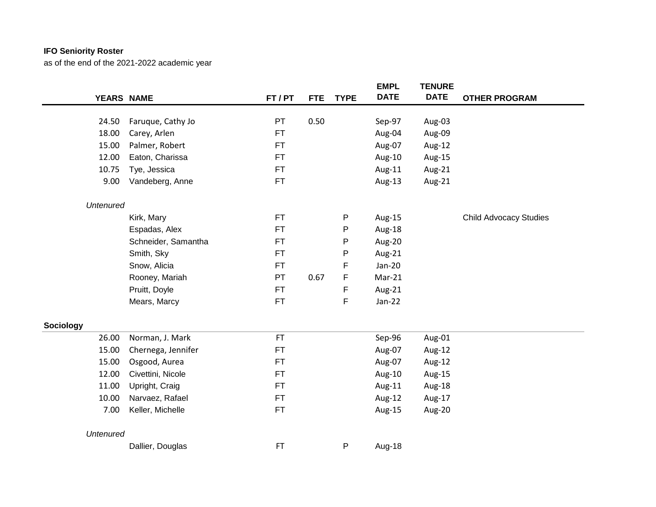|                  |                     |           |            |             | <b>EMPL</b> | <b>TENURE</b> |                               |
|------------------|---------------------|-----------|------------|-------------|-------------|---------------|-------------------------------|
|                  | YEARS NAME          | FT / PT   | <b>FTE</b> | <b>TYPE</b> | <b>DATE</b> | <b>DATE</b>   | <b>OTHER PROGRAM</b>          |
| 24.50            | Faruque, Cathy Jo   | PT        | 0.50       |             | Sep-97      | Aug-03        |                               |
|                  |                     | FT        |            |             |             |               |                               |
| 18.00            | Carey, Arlen        |           |            |             | Aug-04      | Aug-09        |                               |
| 15.00            | Palmer, Robert      | FT        |            |             | Aug-07      | Aug-12        |                               |
| 12.00            | Eaton, Charissa     | FT        |            |             | Aug-10      | Aug-15        |                               |
| 10.75            | Tye, Jessica        | FT        |            |             | Aug-11      | Aug-21        |                               |
| 9.00             | Vandeberg, Anne     | FT        |            |             | Aug-13      | Aug-21        |                               |
| <b>Untenured</b> |                     |           |            |             |             |               |                               |
|                  | Kirk, Mary          | <b>FT</b> |            | P           | Aug-15      |               | <b>Child Advocacy Studies</b> |
|                  | Espadas, Alex       | <b>FT</b> |            | P           | Aug-18      |               |                               |
|                  | Schneider, Samantha | FT        |            | P           | Aug-20      |               |                               |
|                  | Smith, Sky          | <b>FT</b> |            | P           | Aug-21      |               |                               |
|                  | Snow, Alicia        | FT        |            | F           | Jan-20      |               |                               |
|                  | Rooney, Mariah      | <b>PT</b> | 0.67       | F           | $Mar-21$    |               |                               |
|                  | Pruitt, Doyle       | FT        |            | F           | Aug-21      |               |                               |
|                  | Mears, Marcy        | <b>FT</b> |            | F           | $Jan-22$    |               |                               |
| <b>Sociology</b> |                     |           |            |             |             |               |                               |
| 26.00            | Norman, J. Mark     | <b>FT</b> |            |             | Sep-96      | Aug-01        |                               |
| 15.00            | Chernega, Jennifer  | FT        |            |             | Aug-07      | Aug-12        |                               |
| 15.00            | Osgood, Aurea       | FT        |            |             | Aug-07      | Aug-12        |                               |
| 12.00            | Civettini, Nicole   | <b>FT</b> |            |             | Aug-10      | Aug-15        |                               |
| 11.00            | Upright, Craig      | FT        |            |             | Aug-11      | Aug-18        |                               |
| 10.00            | Narvaez, Rafael     | FT        |            |             | Aug-12      | Aug-17        |                               |
| 7.00             | Keller, Michelle    | FT        |            |             | Aug-15      | Aug-20        |                               |
| <b>Untenured</b> |                     |           |            |             |             |               |                               |
|                  | Dallier, Douglas    | FT        |            | P           | Aug-18      |               |                               |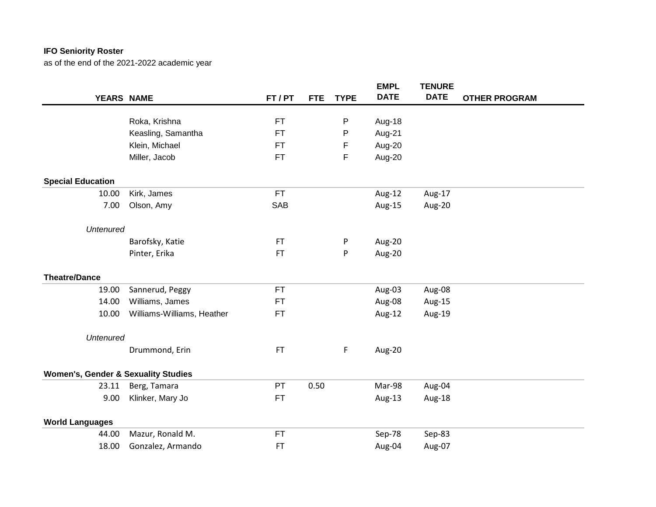|                                                |                            |            |                           | <b>EMPL</b> | <b>TENURE</b> |                      |
|------------------------------------------------|----------------------------|------------|---------------------------|-------------|---------------|----------------------|
| YEARS NAME                                     |                            | FT / PT    | <b>TYPE</b><br><b>FTE</b> | <b>DATE</b> | <b>DATE</b>   | <b>OTHER PROGRAM</b> |
|                                                | Roka, Krishna              | <b>FT</b>  |                           |             |               |                      |
|                                                |                            |            | P                         | Aug-18      |               |                      |
|                                                | Keasling, Samantha         | FT         | P                         | Aug-21      |               |                      |
|                                                | Klein, Michael             | <b>FT</b>  | F                         | Aug-20      |               |                      |
|                                                | Miller, Jacob              | <b>FT</b>  | F                         | Aug-20      |               |                      |
| <b>Special Education</b>                       |                            |            |                           |             |               |                      |
| 10.00                                          | Kirk, James                | <b>FT</b>  |                           | Aug-12      | Aug-17        |                      |
| 7.00                                           | Olson, Amy                 | <b>SAB</b> |                           | Aug-15      | Aug-20        |                      |
| <b>Untenured</b>                               |                            |            |                           |             |               |                      |
|                                                | Barofsky, Katie            | <b>FT</b>  | P                         | Aug-20      |               |                      |
|                                                | Pinter, Erika              | <b>FT</b>  | P                         | Aug-20      |               |                      |
| <b>Theatre/Dance</b>                           |                            |            |                           |             |               |                      |
| 19.00                                          | Sannerud, Peggy            | <b>FT</b>  |                           | Aug-03      | Aug-08        |                      |
| 14.00                                          | Williams, James            | <b>FT</b>  |                           | Aug-08      | Aug-15        |                      |
| 10.00                                          | Williams-Williams, Heather | <b>FT</b>  |                           | Aug-12      | Aug-19        |                      |
| <b>Untenured</b>                               |                            |            |                           |             |               |                      |
|                                                | Drummond, Erin             | <b>FT</b>  | F                         | Aug-20      |               |                      |
| <b>Women's, Gender &amp; Sexuality Studies</b> |                            |            |                           |             |               |                      |
| 23.11                                          | Berg, Tamara               | PT         | 0.50                      | Mar-98      | Aug-04        |                      |
|                                                |                            | <b>FT</b>  |                           |             |               |                      |
| 9.00                                           | Klinker, Mary Jo           |            |                           | Aug-13      | Aug-18        |                      |
| <b>World Languages</b>                         |                            |            |                           |             |               |                      |
| 44.00                                          | Mazur, Ronald M.           | <b>FT</b>  |                           | Sep-78      | Sep-83        |                      |
| 18.00                                          | Gonzalez, Armando          | <b>FT</b>  |                           | Aug-04      | Aug-07        |                      |